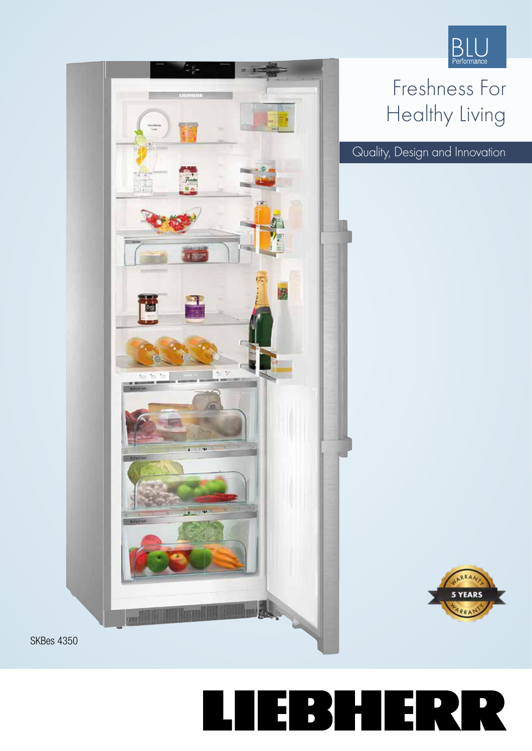

## Freshness For Healthy Living

Quality, Design and Innovation





EBHERR 

SKBes 4350